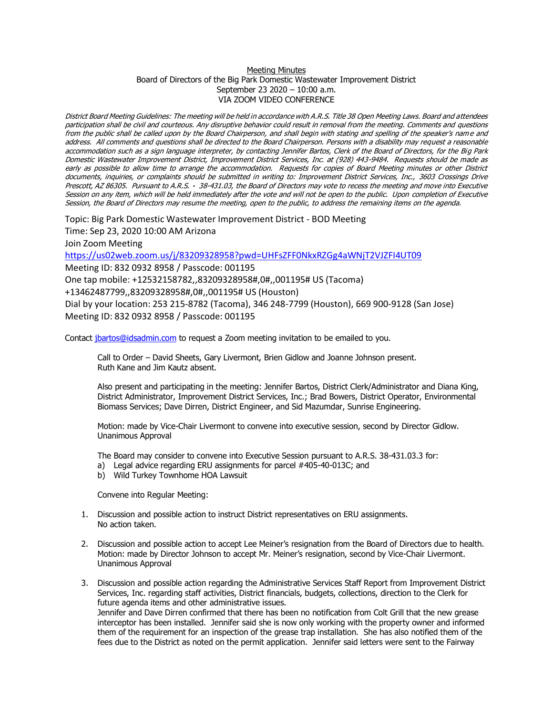## Meeting Minutes Board of Directors of the Big Park Domestic Wastewater Improvement District September 23 2020 – 10:00 a.m. VIA ZOOM VIDEO CONFERENCE

District Board Meeting Guidelines: The meeting will be held in accordance with A.R.S. Title 38 Open Meeting Laws. Board and attendees participation shall be civil and courteous. Any disruptive behavior could result in removal from the meeting. Comments and questions from the public shall be called upon by the Board Chairperson, and shall begin with stating and spelling of the speaker's name and address. All comments and questions shall be directed to the Board Chairperson. Persons with a disability may request a reasonable accommodation such as a sign language interpreter, by contacting Jennifer Bartos, Clerk of the Board of Directors, for the Big Park Domestic Wastewater Improvement District, Improvement District Services, Inc. at (928) 443-9484. Requests should be made as early as possible to allow time to arrange the accommodation. Requests for copies of Board Meeting minutes or other District documents, inquiries, or complaints should be submitted in writing to: Improvement District Services, Inc., 3603 Crossings Drive Prescott, AZ 86305. Pursuant to A.R.S. · 38-431.03, the Board of Directors may vote to recess the meeting and move into Executive Session on any item, which will be held immediately after the vote and will not be open to the public. Upon completion of Executive Session, the Board of Directors may resume the meeting, open to the public, to address the remaining items on the agenda.

Topic: Big Park Domestic Wastewater Improvement District - BOD Meeting

Time: Sep 23, 2020 10:00 AM Arizona

Join Zoom Meeting

<https://us02web.zoom.us/j/83209328958?pwd=UHFsZFF0NkxRZGg4aWNjT2VJZFI4UT09>

Meeting ID: 832 0932 8958 / Passcode: 001195

One tap mobile: +12532158782,,83209328958#,0#,,001195# US (Tacoma)

+13462487799,,83209328958#,0#,,001195# US (Houston)

Dial by your location: 253 215-8782 (Tacoma), 346 248-7799 (Houston), 669 900-9128 (San Jose) Meeting ID: 832 0932 8958 / Passcode: 001195

Contact [jbartos@idsadmin.com](mailto:jbartos@idsadmin.com) to request a Zoom meeting invitation to be emailed to you.

Call to Order – David Sheets, Gary Livermont, Brien Gidlow and Joanne Johnson present. Ruth Kane and Jim Kautz absent.

Also present and participating in the meeting: Jennifer Bartos, District Clerk/Administrator and Diana King, District Administrator, Improvement District Services, Inc.; Brad Bowers, District Operator, Environmental Biomass Services; Dave Dirren, District Engineer, and Sid Mazumdar, Sunrise Engineering.

Motion: made by Vice-Chair Livermont to convene into executive session, second by Director Gidlow. Unanimous Approval

The Board may consider to convene into Executive Session pursuant to A.R.S. 38-431.03.3 for:

- a) Legal advice regarding ERU assignments for parcel #405-40-013C; and
- b) Wild Turkey Townhome HOA Lawsuit

Convene into Regular Meeting:

- 1. Discussion and possible action to instruct District representatives on ERU assignments. No action taken.
- 2. Discussion and possible action to accept Lee Meiner's resignation from the Board of Directors due to health. Motion: made by Director Johnson to accept Mr. Meiner's resignation, second by Vice-Chair Livermont. Unanimous Approval
- 3. Discussion and possible action regarding the Administrative Services Staff Report from Improvement District Services, Inc. regarding staff activities, District financials, budgets, collections, direction to the Clerk for future agenda items and other administrative issues. Jennifer and Dave Dirren confirmed that there has been no notification from Colt Grill that the new grease interceptor has been installed. Jennifer said she is now only working with the property owner and informed them of the requirement for an inspection of the grease trap installation. She has also notified them of the fees due to the District as noted on the permit application. Jennifer said letters were sent to the Fairway